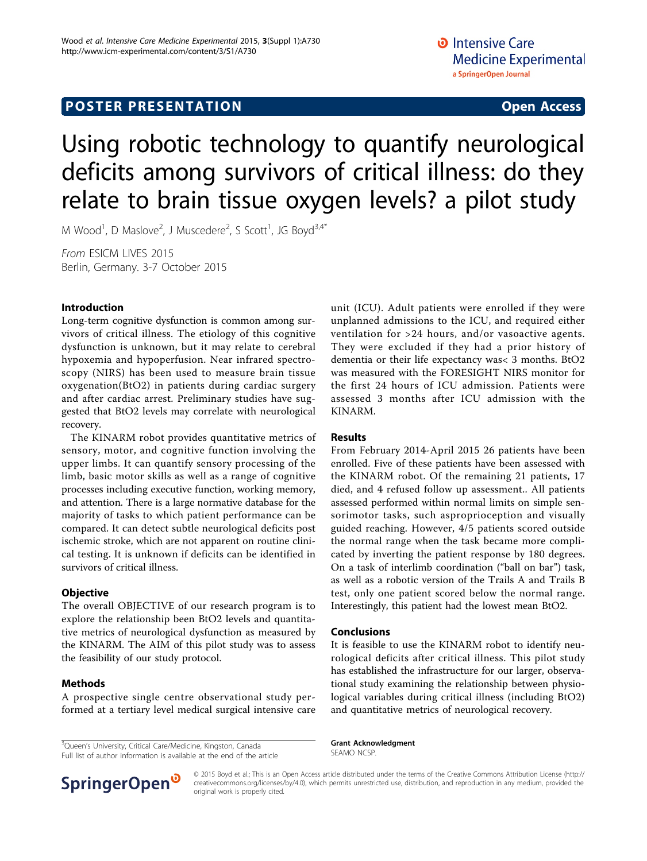# Using robotic technology to quantify neurological deficits among survivors of critical illness: do they relate to brain tissue oxygen levels? a pilot study

M Wood<sup>1</sup>, D Maslove<sup>2</sup>, J Muscedere<sup>2</sup>, S Scott<sup>1</sup>, JG Boyd<sup>3,4\*</sup>

From ESICM LIVES 2015 Berlin, Germany. 3-7 October 2015

### Introduction

Long-term cognitive dysfunction is common among survivors of critical illness. The etiology of this cognitive dysfunction is unknown, but it may relate to cerebral hypoxemia and hypoperfusion. Near infrared spectroscopy (NIRS) has been used to measure brain tissue oxygenation(BtO2) in patients during cardiac surgery and after cardiac arrest. Preliminary studies have suggested that BtO2 levels may correlate with neurological recovery.

The KINARM robot provides quantitative metrics of sensory, motor, and cognitive function involving the upper limbs. It can quantify sensory processing of the limb, basic motor skills as well as a range of cognitive processes including executive function, working memory, and attention. There is a large normative database for the majority of tasks to which patient performance can be compared. It can detect subtle neurological deficits post ischemic stroke, which are not apparent on routine clinical testing. It is unknown if deficits can be identified in survivors of critical illness.

#### **Objective**

The overall OBJECTIVE of our research program is to explore the relationship been BtO2 levels and quantitative metrics of neurological dysfunction as measured by the KINARM. The AIM of this pilot study was to assess the feasibility of our study protocol.

### Methods

A prospective single centre observational study performed at a tertiary level medical surgical intensive care

<sup>3</sup>Queen's University, Critical Care/Medicine, Kingston, Canada Full list of author information is available at the end of the article unit (ICU). Adult patients were enrolled if they were unplanned admissions to the ICU, and required either ventilation for >24 hours, and/or vasoactive agents. They were excluded if they had a prior history of dementia or their life expectancy was< 3 months. BtO2 was measured with the FORESIGHT NIRS monitor for the first 24 hours of ICU admission. Patients were assessed 3 months after ICU admission with the KINARM.

### Results

From February 2014-April 2015 26 patients have been enrolled. Five of these patients have been assessed with the KINARM robot. Of the remaining 21 patients, 17 died, and 4 refused follow up assessment.. All patients assessed performed within normal limits on simple sensorimotor tasks, such asproprioception and visually guided reaching. However, 4/5 patients scored outside the normal range when the task became more complicated by inverting the patient response by 180 degrees. On a task of interlimb coordination ("ball on bar") task, as well as a robotic version of the Trails A and Trails B test, only one patient scored below the normal range. Interestingly, this patient had the lowest mean BtO2.

#### Conclusions

It is feasible to use the KINARM robot to identify neurological deficits after critical illness. This pilot study has established the infrastructure for our larger, observational study examining the relationship between physiological variables during critical illness (including BtO2) and quantitative metrics of neurological recovery.

Grant Acknowledgment SEAMO NCSP.



© 2015 Boyd et al.; This is an Open Access article distributed under the terms of the Creative Commons Attribution License [\(http://](http://creativecommons.org/licenses/by/4.0) [creativecommons.org/licenses/by/4.0](http://creativecommons.org/licenses/by/4.0)), which permits unrestricted use, distribution, and reproduction in any medium, provided the original work is properly cited.